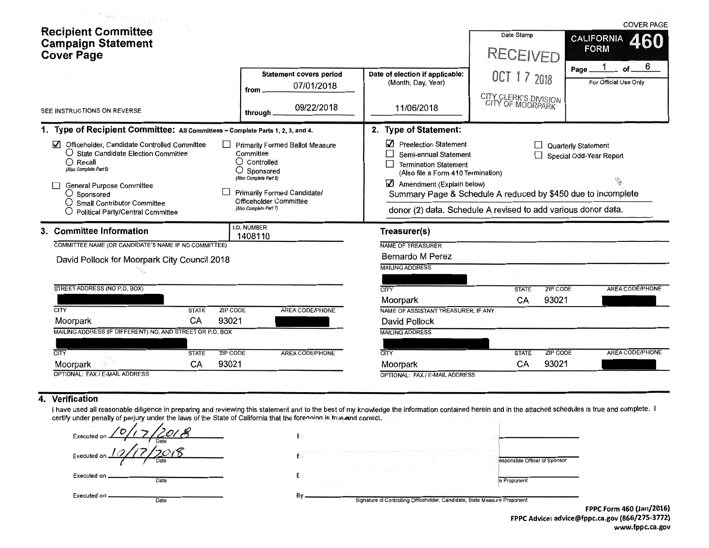|                                                                                                                                                                                                                                                                                                                                                                                                                                                                                        |                                                                                 |              |                 |                                                                                                                                                                                                                                                                                                                                                       |                                                       |                                           | <b>COVER PAGE</b>                         |  |
|----------------------------------------------------------------------------------------------------------------------------------------------------------------------------------------------------------------------------------------------------------------------------------------------------------------------------------------------------------------------------------------------------------------------------------------------------------------------------------------|---------------------------------------------------------------------------------|--------------|-----------------|-------------------------------------------------------------------------------------------------------------------------------------------------------------------------------------------------------------------------------------------------------------------------------------------------------------------------------------------------------|-------------------------------------------------------|-------------------------------------------|-------------------------------------------|--|
|                                                                                                                                                                                                                                                                                                                                                                                                                                                                                        | <b>Recipient Committee</b>                                                      |              |                 |                                                                                                                                                                                                                                                                                                                                                       |                                                       | Date Stamp                                | <b>CALIFORNIA</b><br>460                  |  |
|                                                                                                                                                                                                                                                                                                                                                                                                                                                                                        | <b>Campaign Statement</b><br><b>Cover Page</b>                                  |              |                 |                                                                                                                                                                                                                                                                                                                                                       |                                                       | RECEIVED                                  | <b>FORM</b><br>6                          |  |
|                                                                                                                                                                                                                                                                                                                                                                                                                                                                                        |                                                                                 |              |                 | <b>Statement covers period</b><br>07/01/2018                                                                                                                                                                                                                                                                                                          | Date of election if applicable:<br>(Month, Day, Year) | OCT 17 2018                               | Page<br>For Official Use Only             |  |
|                                                                                                                                                                                                                                                                                                                                                                                                                                                                                        |                                                                                 |              |                 | from                                                                                                                                                                                                                                                                                                                                                  |                                                       | CITY CLERK'S DIVISION<br>CITY OF MOORPARK |                                           |  |
|                                                                                                                                                                                                                                                                                                                                                                                                                                                                                        | SEE INSTRUCTIONS ON REVERSE                                                     |              |                 | 09/22/2018<br>through.                                                                                                                                                                                                                                                                                                                                | 11/06/2018                                            |                                           |                                           |  |
|                                                                                                                                                                                                                                                                                                                                                                                                                                                                                        | 1. Type of Recipient Committee: All Committees - Complete Parts 1, 2, 3, and 4. |              |                 |                                                                                                                                                                                                                                                                                                                                                       | 2. Type of Statement:                                 |                                           |                                           |  |
| Officeholder, Candidate Controlled Committee<br><b>Primarily Formed Ballot Measure</b><br>○ State Candidate Election Committee<br>Committee<br>Controlled<br>$\bigcirc$ Recall<br>(Also Complete Part 5)<br>$\bigcirc$ Sponsored<br>(Also Complete Part 6)<br><b>General Purpose Committee</b><br>Primarily Formed Candidate/<br>$\bigcirc$ Sponsored<br>Officeholder Committee<br>○ Small Contributor Committee<br>(Also Complete Part 7)<br><b>Political Party/Central Committee</b> |                                                                                 |              |                 | ☑<br><b>Preelection Statement</b><br>Quarterly Statement<br>Г<br>Semi-annual Statement<br>Special Odd-Year Report<br><b>Termination Statement</b><br>(Also file a Form 410 Termination)<br>Amendment (Explain below)<br>Summary Page & Schedule A reduced by \$450 due to incomplete<br>donor (2) data. Schedule A revised to add various donor data. |                                                       |                                           |                                           |  |
|                                                                                                                                                                                                                                                                                                                                                                                                                                                                                        | 3. Committee Information                                                        |              | I.D. NUMBER     | 1408110                                                                                                                                                                                                                                                                                                                                               | Treasurer(s)                                          |                                           |                                           |  |
|                                                                                                                                                                                                                                                                                                                                                                                                                                                                                        | COMMITTEE NAME (OR CANDIDATE'S NAME IF NO COMMITTEE)                            |              |                 |                                                                                                                                                                                                                                                                                                                                                       | <b>NAME OF TREASURER</b>                              |                                           |                                           |  |
|                                                                                                                                                                                                                                                                                                                                                                                                                                                                                        | David Pollock for Moorpark City Council 2018                                    |              |                 |                                                                                                                                                                                                                                                                                                                                                       | <b>Bernardo M Perez</b><br><b>MAILING ADDRESS</b>     |                                           |                                           |  |
|                                                                                                                                                                                                                                                                                                                                                                                                                                                                                        |                                                                                 |              |                 |                                                                                                                                                                                                                                                                                                                                                       |                                                       |                                           |                                           |  |
|                                                                                                                                                                                                                                                                                                                                                                                                                                                                                        | STREET ADDRESS (NO P.O. BOX)                                                    |              |                 |                                                                                                                                                                                                                                                                                                                                                       | <b>CITY</b>                                           | <b>STATE</b>                              | AREA CODE/PHONE<br><b>ZIP CODE</b>        |  |
|                                                                                                                                                                                                                                                                                                                                                                                                                                                                                        |                                                                                 |              |                 |                                                                                                                                                                                                                                                                                                                                                       | Moorpark                                              | CA                                        | 93021                                     |  |
|                                                                                                                                                                                                                                                                                                                                                                                                                                                                                        | CITY                                                                            | <b>STATE</b> | ZIP CODE        | <b>AREA CODE/PHONE</b>                                                                                                                                                                                                                                                                                                                                | NAME OF ASSISTANT TREASURER, IF ANY                   |                                           |                                           |  |
|                                                                                                                                                                                                                                                                                                                                                                                                                                                                                        | Moorpark<br>MAILING ADDRESS (IF DIFFERENT) NO. AND STREET OR P.O. BOX           | CA           | 93021           |                                                                                                                                                                                                                                                                                                                                                       | David Pollock<br><b>MAILING ADDRESS</b>               |                                           |                                           |  |
|                                                                                                                                                                                                                                                                                                                                                                                                                                                                                        |                                                                                 |              |                 |                                                                                                                                                                                                                                                                                                                                                       |                                                       |                                           |                                           |  |
|                                                                                                                                                                                                                                                                                                                                                                                                                                                                                        | CITY                                                                            | <b>STATE</b> | <b>ZIP CODE</b> | <b>AREA CODE/PHONE</b>                                                                                                                                                                                                                                                                                                                                | <b>CITY</b>                                           | <b>STATE</b>                              | <b>ZIP CODE</b><br><b>AREA CODE/PHONE</b> |  |
|                                                                                                                                                                                                                                                                                                                                                                                                                                                                                        | Moorpark                                                                        | CA           | 93021           |                                                                                                                                                                                                                                                                                                                                                       | Moorpark                                              | CA                                        | 93021                                     |  |
|                                                                                                                                                                                                                                                                                                                                                                                                                                                                                        | OPTIONAL: FAX / E-MAIL ADDRESS                                                  |              |                 |                                                                                                                                                                                                                                                                                                                                                       | OPTIONAL: FAX / E-MAIL ADDRESS                        |                                           |                                           |  |

## 4. Verification

I have used all reasonable diligence in preparing and reviewing this statement and to the best of my knowledge the information contained herein and in the attached schedules is true and complete. certify under penalty of perjury under the laws of the State of California that the forencing is true and correct.

| Executed on $10/17/2018$<br>Date |
|----------------------------------|
| Executed on $19/17/2018$         |
| Executed on $\equiv$<br>Date     |
| Executed on<br>Date              |

| Executed on<br>Date | Signature of Controlling Officeholder, Candidate, State Measure Proponent                                                                                                                                                                                             |                               |
|---------------------|-----------------------------------------------------------------------------------------------------------------------------------------------------------------------------------------------------------------------------------------------------------------------|-------------------------------|
| Date                | the property of the company's company's<br>the control of the control<br>the contract of the con-                                                                                                                                                                     | Proponent                     |
| Executed on         | .<br>the second contract of the company of the second contract of the contract of the contract of the contract of the contract of the contract of the contract of the contract of the contract of the contract of the contract of t<br>the contract of the con-<br>日の |                               |
| Executed<br>Date    | .     .<br><b>The Common</b><br>A.                                                                                                                                                                                                                                    | esponsible Officer of Sponsor |
| Executed or<br>Date | t v                                                                                                                                                                                                                                                                   |                               |

FPPC Form 460 (Jan/2016) FPPC Advice: advice@fppc.ca.gov (866/275-3772) www.fppc.ca.gov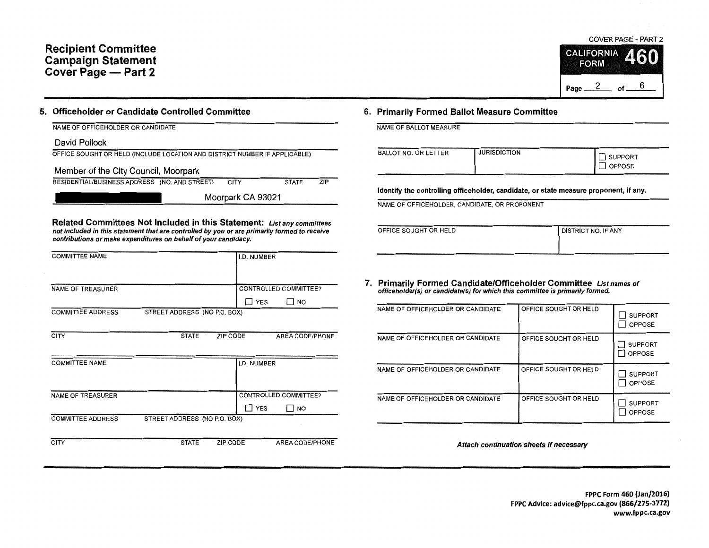## Recipient Committee Campaign Statement Cover Page - Part 2

6

 $\frac{2}{\sqrt{2}}$  of  $\frac{2}{\sqrt{2}}$ 

Page

## 5. Officeholder or Candidate Controlled Committee

| NAME OF OFFICEHOLDER OR CANDIDATE |  |
|-----------------------------------|--|

David Pollock

|  |  |  |  |  |  |  | OFFICE SOUGHT OR HELD (INCLUDE LOCATION AND DISTRICT NUMBER IF APPLICABLE) |
|--|--|--|--|--|--|--|----------------------------------------------------------------------------|
|--|--|--|--|--|--|--|----------------------------------------------------------------------------|

Member of the City Council, Moorpark

RESIDENTIAL/BUSINESS ADDRESS (NO. AND STREET) CITY STATE ZIP

Moorpark CA 93021

Related Committees Not Included in this Statement: List any committees not included in this statement that are controlled by you or are primarily formed to receive contributions or make expenditures on behalf of your candidacy.

| <b>COMMITTEE NAME</b>    |                              | I.D. NUMBER           |    |
|--------------------------|------------------------------|-----------------------|----|
| <b>NAME OF TREASURER</b> |                              | CONTROLLED COMMITTEE? |    |
|                          |                              | <b>YES</b>            | NO |
| <b>COMMITTEE ADDRESS</b> | STREET ADDRESS (NO P.O. BOX) |                       |    |

| <b>CITY</b>              | <b>STATE</b>                 | ZIP CODE |             | AREA CODE/PHONE              |
|--------------------------|------------------------------|----------|-------------|------------------------------|
| <b>COMMITTEE NAME</b>    |                              |          | I.D. NUMBER |                              |
|                          |                              |          |             |                              |
| <b>NAME OF TREASURER</b> |                              |          |             | <b>CONTROLLED COMMITTEE?</b> |
|                          |                              |          | Í ∣YES      | <b>NO</b>                    |
| <b>COMMITTEE ADDRESS</b> | STREET ADDRESS (NO P.O. BOX) |          |             |                              |
|                          |                              |          |             |                              |
| <b>CITY</b>              | <b>STATE</b>                 | ZIP CODE |             | AREA CODE/PHONE              |

## 6. Primarily Formed Ballot Measure Committee

NAME OF BALLOT MEASURE

| BALLOT NO. OR LETTER<br>SUPPORT<br>' □ OPPOSE |  | <b>JURISDICTION</b> |  |
|-----------------------------------------------|--|---------------------|--|
|-----------------------------------------------|--|---------------------|--|

Identify the controlling officeholder, candidate, or state measure proponent, if any.

NAME OF OFFICEHOLDER, CANDIDATE, OR PROPONENT

| OFFICE SOUGHT OR HELD | <b>DISTRICT NO. IF ANY</b> |
|-----------------------|----------------------------|
|                       |                            |

7. Primarily Formed Candidate/Officeholder Committee List names of offlceholder(s) or candidate(s) for which this committee is primarily formed.

| NAME OF OFFICEHOLDER OR CANDIDATE | OFFICE SOUGHT OR HELD | <b>SUPPORT</b><br><b>OPPOSE</b> |
|-----------------------------------|-----------------------|---------------------------------|
| NAME OF OFFICEHOLDER OR CANDIDATE | OFFICE SOUGHT OR HELD | <b>SUPPORT</b><br><b>OPPOSE</b> |
| NAME OF OFFICEHOLDER OR CANDIDATE | OFFICE SOUGHT OR HELD | <b>SUPPORT</b><br><b>OPPOSE</b> |
| NAME OF OFFICEHOLDER OR CANDIDATE | OFFICE SOUGHT OR HELD | <b>SUPPORT</b><br><b>OPPOSE</b> |

Attach continuation sheets if necessary

FPPC Form 460 (Jan/2016) FPPC Advice: advice@fppc.ca.gov (866/275-3772) www.fppc.ca.gov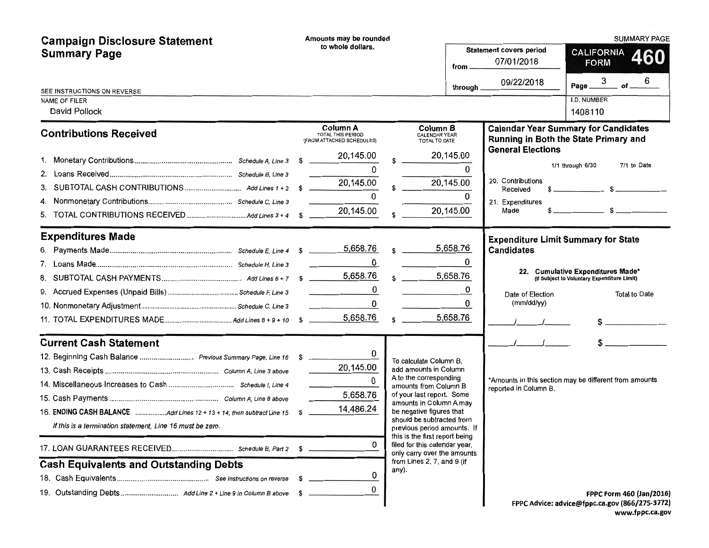| <b>Campaign Disclosure Statement</b>                                                                                                                                                                                                                                                  | Amounts may be rounded                                                           |                                                                                                                                                                                                                                                                                                                                                                                             |                                                                                                        | <b>SUMMARY PAGE</b>                                                                                                                                    |
|---------------------------------------------------------------------------------------------------------------------------------------------------------------------------------------------------------------------------------------------------------------------------------------|----------------------------------------------------------------------------------|---------------------------------------------------------------------------------------------------------------------------------------------------------------------------------------------------------------------------------------------------------------------------------------------------------------------------------------------------------------------------------------------|--------------------------------------------------------------------------------------------------------|--------------------------------------------------------------------------------------------------------------------------------------------------------|
| <b>Summary Page</b>                                                                                                                                                                                                                                                                   | to whole dollars.                                                                | from.                                                                                                                                                                                                                                                                                                                                                                                       | <b>Statement covers period</b><br>07/01/2018                                                           | <b>CALIFORNIA</b><br><b>460</b><br><b>FORM</b>                                                                                                         |
| SEE INSTRUCTIONS ON REVERSE<br><b>NAME OF FILER</b>                                                                                                                                                                                                                                   |                                                                                  |                                                                                                                                                                                                                                                                                                                                                                                             | 09/22/2018<br>through.                                                                                 | 6.<br>$of$ <sub>---</sub><br>Page __<br>I.D. NUMBER                                                                                                    |
| David Pollock                                                                                                                                                                                                                                                                         |                                                                                  |                                                                                                                                                                                                                                                                                                                                                                                             |                                                                                                        | 1408110                                                                                                                                                |
| <b>Contributions Received</b>                                                                                                                                                                                                                                                         | Column A<br><b>TOTAL THIS PERIOD</b><br>(FROM ATTACHED SCHEDULES)                | <b>Column B</b><br>CALENDAR YEAR<br>TOTAL TO DATE                                                                                                                                                                                                                                                                                                                                           |                                                                                                        | <b>Calendar Year Summary for Candidates</b><br>Running in Both the State Primary and                                                                   |
| 5.                                                                                                                                                                                                                                                                                    | 20,145.00<br>$\Omega$<br>20,145.00<br>$\Omega$<br>20,145.00                      | 20,145.00<br>20,145.00<br>20,145.00                                                                                                                                                                                                                                                                                                                                                         | <b>General Elections</b><br>0<br>20. Contributions<br>Received<br>$\Omega$<br>21. Expenditures<br>Made | 7/1 to Date<br>1/1 through 6/30<br>$\mathbb{S}$                                                                                                        |
| <b>Expenditures Made</b><br>8.                                                                                                                                                                                                                                                        | 5,658.76<br>0<br>5,658.76<br>$\bf{0}$<br>0<br>5,658.76                           | 5,658.76<br>5,658.76<br>5,658.76                                                                                                                                                                                                                                                                                                                                                            | <b>Candidates</b><br>0<br>0<br>Date of Election<br>$\Omega$<br>(mm/dd/yy)                              | <b>Expenditure Limit Summary for State</b><br>22. Cumulative Expenditures Made*<br>(If Subject to Voluntary Expenditure Limit)<br><b>Total to Date</b> |
| <b>Current Cash Statement</b><br>12. Beginning Cash Balance  Previous Summary Page, Line 16 \$<br>16. ENDING CASH BALANCE Add Lines 12 + 13 + 14, then subtract Line 15<br>If this is a termination statement, Line 16 must be zero.<br><b>Cash Equivalents and Outstanding Debts</b> | 0<br>20,145.00<br>$\Omega$<br>5,658.76<br>14,486.24<br>0<br>0<br>- \$<br>0<br>-S | To calculate Column B.<br>add amounts in Column<br>A to the corresponding<br>amounts from Column B<br>of your last report. Some<br>amounts in Column A may<br>be negative figures that<br>should be subtracted from<br>previous period amounts. If<br>this is the first report being<br>filed for this calendar year,<br>only carry over the amounts<br>from Lines 2, 7, and 9 (if<br>any). | reported in Column B.                                                                                  | *Amounts in this section may be different from amounts<br>FPPC Form 460 (Jan/2016)                                                                     |
|                                                                                                                                                                                                                                                                                       |                                                                                  |                                                                                                                                                                                                                                                                                                                                                                                             |                                                                                                        | FPPC Advice: advice@fppc.ca.gov (866/275-3772)                                                                                                         |

**www.fppc.ca.gov**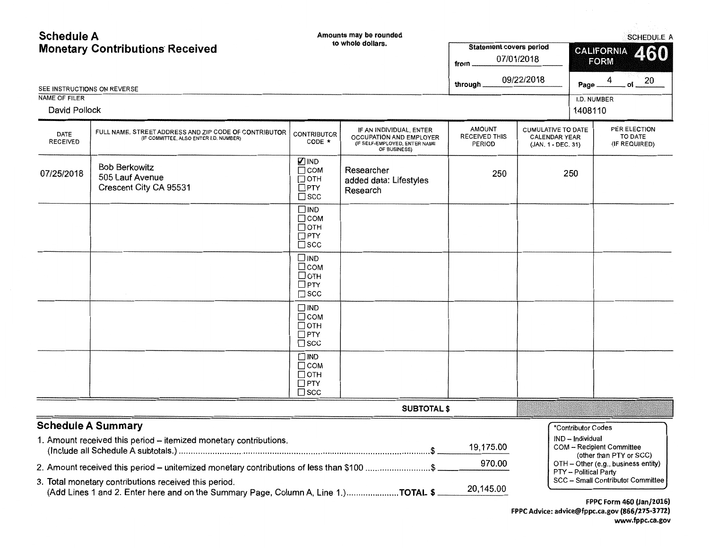**Schedule A**  Amounts may be rounded SCHEDULE A to whole dollars. **Monetary Contributions Received** Statement covers period **CALIFORNIA** 60 from 07/01/2018 **FORM** through  $09/22/2018$  Page  $4$  of  $20$ SEE INSTRUCTIONS ON REVERSE NAME OF FILER l.D. NUMBER David Pollock 1408110 AMOUNT CUMULATIVE TO DATE PER ELECTION IF AN INDIVIDUAL, ENTER FULL NAME, STREET ADDRESS AND ZIP CODE OF CONTRIBUTOR CONTRIBUTOR DATE OCCUPATION AND EMPLOYER RECEIVED THIS CALENDAR YEAR TO DATE (IF COMMITTEE, ALSO ENTER I.D. NUMBER) CODE \* RECEIVED (IF SELF-EMPLOYED, ENTER NAME PERIOD (JAN. 1 - DEC. 31) (IF REQUIRED) OF BUSINESS) 01ND Bob Berkowitz Researcher  $\Box$ COM 250 250 07/25/2018 505 Lauf Avenue  $\Box$  OTH added data: Lifestyles Crescent City CA 95531  $\square$  PTY Research  $\square$  scc DINO  $\Box$ COM  $\Box$  OTH  $\Box$ PTY  $\square$  scc DINO DcoM DOTH DPTY  $\square$  scc DINO  $\Box$ COM  $\Box$  OTH  $\square$  PTY  $\square$  scc DINO  $\Box$  COM  $\square$  OTH  $\square$  PTY  $\square$  scc SUBTOTAL\$ **Schedule A Summary**  \*Contributor Codes 1. Amount received this period – itemized monetary contributions.<br>
(Include all Schodule A subtatele)<br>
(Include all Schodule A subtatele) (Include all Schedule A subtotals.) ......................................................................................................... \$ 19, 175.00 COM - Recipient Committee (other than PTY or SCC) OTH - Other (e.g., business entity) PTY - Political Party Publical Party Cine in temized monetary contributions of less than \$100 .............................\$ PHO.000 PTY - Political Party SCC - Small Contributor Committee 3. Total monetary contributions received this period. (Add Lines 1 and 2. Enter here and on the Summary Page, Column A, Line 1.) **...................... TOTAL** \$ 20, 145.00

FPPC Form 460 (Jan/2016} FPPC Advice: advice@fppc.ca.gov (866/275-3772) www.fppc.ca.gov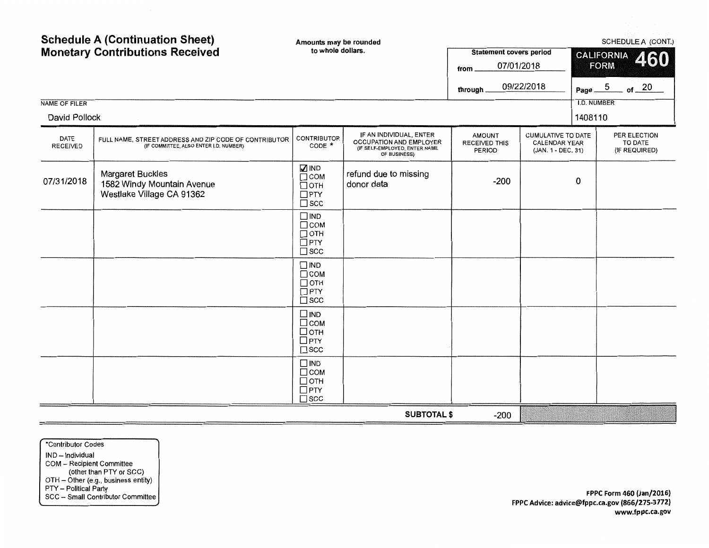| <b>NAME OF FILER</b>           | <b>Schedule A (Continuation Sheet)</b><br><b>Monetary Contributions Received</b>                | Amounts may be rounded<br>to whole dollars.                                      |                                                                                                     | <b>Statement covers period</b><br>07/01/2018<br>from.<br>through. | 09/22/2018                                                              | Page $-5$<br><b>I.D. NUMBER</b> | SCHEDULE A (CONT.)<br>CALIFORNIA 460<br><b>FORM</b><br>$-$ of $-$ 20 |
|--------------------------------|-------------------------------------------------------------------------------------------------|----------------------------------------------------------------------------------|-----------------------------------------------------------------------------------------------------|-------------------------------------------------------------------|-------------------------------------------------------------------------|---------------------------------|----------------------------------------------------------------------|
| David Pollock                  |                                                                                                 |                                                                                  |                                                                                                     |                                                                   |                                                                         | 1408110                         |                                                                      |
| <b>DATE</b><br><b>RECEIVED</b> | FULL NAME, STREET ADDRESS AND ZIP CODE OF CONTRIBUTOR<br>(IF COMMITTEE, ALSO ENTER I.D. NUMBER) | <b>CONTRIBUTOR</b><br>CODE *                                                     | IF AN INDIVIDUAL, ENTER<br>OCCUPATION AND EMPLOYER<br>(IF SELF-EMPLOYED, ENTER NAME<br>OF BUSINESS) | <b>AMOUNT</b><br><b>RECEIVED THIS</b><br><b>PERIOD</b>            | <b>CUMULATIVE TO DATE</b><br><b>CALENDAR YEAR</b><br>(JAN. 1 - DEC. 31) |                                 | PER ELECTION<br>TO DATE<br>(IF REQUIRED)                             |
| 07/31/2018                     | <b>Margaret Buckles</b><br>1582 Windy Mountain Avenue<br>Westlake Village CA 91362              | <b>NIND</b><br>$\Box$ COM<br>$\Box$ OTH<br>$\Box$ PTY<br>$\square$ SCC           | refund due to missing<br>donor data                                                                 | $-200$                                                            |                                                                         | 0                               |                                                                      |
|                                |                                                                                                 | $\square$ IND<br>$\Box$ COM<br>$\Box$ OTH<br>$\Box$ PTY<br>$\square$ SCC         |                                                                                                     |                                                                   |                                                                         |                                 |                                                                      |
|                                |                                                                                                 | $\square$ IND<br>$\Box$ COM<br>$\Box$ OTH<br>$\Box$ PTY<br>$\square$ scc         |                                                                                                     |                                                                   |                                                                         |                                 |                                                                      |
|                                |                                                                                                 | $\square$ IND<br>□сом<br>□отн<br>$\square$ PTY<br>$\square$ scc                  |                                                                                                     |                                                                   |                                                                         |                                 |                                                                      |
|                                |                                                                                                 | $\Box$ IND<br>$\Box$ COM<br>$\Box$ OTH<br>$\overline{\Box}$ PTY<br>$\square$ scc |                                                                                                     |                                                                   |                                                                         |                                 |                                                                      |
|                                |                                                                                                 |                                                                                  | <b>SUBTOTAL \$</b>                                                                                  | $-200$                                                            |                                                                         |                                 |                                                                      |

\*Contributor Codes IND - Individual COM - Recipient Committee (other than PTY or SCC) OTH - Other (e.g., business entity) PTY - Political Party SCC - Small Contributor Committee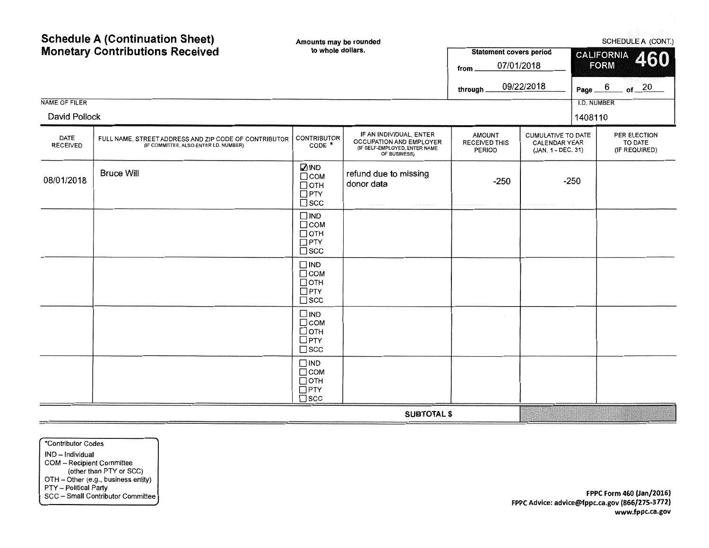| <b>Schedule A (Continuation Sheet)</b><br><b>Monetary Contributions Received</b> |                                                                                                 | Amounts may be rounded<br>to whole dollars.                                 |                                                                                                     | <b>Statement covers period</b><br>07/01/2018<br>from<br>09/22/2018<br>through. |                                                                  | SCHEDULE A (CONT.)<br><b>CALIFORNIA</b><br>460<br><b>FORM</b><br>Page $6$ of $20$ |                                          |  |
|----------------------------------------------------------------------------------|-------------------------------------------------------------------------------------------------|-----------------------------------------------------------------------------|-----------------------------------------------------------------------------------------------------|--------------------------------------------------------------------------------|------------------------------------------------------------------|-----------------------------------------------------------------------------------|------------------------------------------|--|
| <b>NAME OF FILER</b><br>David Pollock                                            |                                                                                                 |                                                                             |                                                                                                     |                                                                                |                                                                  | I.D. NUMBER<br>1408110                                                            |                                          |  |
| DATE<br><b>RECEIVED</b>                                                          | FULL NAME, STREET ADDRESS AND ZIP CODE OF CONTRIBUTOR<br>(IF COMMITTEE, ALSO ENTER I.D. NUMBER) | CONTRIBUTOR<br>CODE *                                                       | IF AN INDIVIDUAL, ENTER<br>OCCUPATION AND EMPLOYER<br>(IF SELF-EMPLOYED, ENTER NAME<br>OF BUSINESS) | <b>AMOUNT</b><br><b>RECEIVED THIS</b><br><b>PERIOD</b>                         | CUMULATIVE TO DATE<br><b>CALENDAR YEAR</b><br>(JAN. 1 - DEC. 31) |                                                                                   | PER ELECTION<br>TO DATE<br>(IF REQUIRED) |  |
| 08/01/2018                                                                       | <b>Bruce Will</b>                                                                               | <b>NIND</b><br>$\Box$ COM<br>□отн<br>$\overline{\Box}$ PTY<br>$\square$ scc | refund due to missing<br>donor data                                                                 | $-250$                                                                         |                                                                  | $-250$                                                                            |                                          |  |
|                                                                                  |                                                                                                 | $\square$ IND<br>$\Box$ COM<br>$\Box$ OTH<br>$\Box$ PTY<br>$\Box$ scc       |                                                                                                     |                                                                                |                                                                  |                                                                                   |                                          |  |
|                                                                                  |                                                                                                 | $\Box$ IND<br>$\Box$ COM<br>$\Box$ OTH<br>$\Box$ PTY<br>$\square$ scc       |                                                                                                     |                                                                                |                                                                  |                                                                                   |                                          |  |
|                                                                                  |                                                                                                 | $\square$ IND<br>□сом<br>□отн<br>$\Box$ PTY<br>$\square$ scc                |                                                                                                     |                                                                                |                                                                  |                                                                                   |                                          |  |
|                                                                                  |                                                                                                 | $\Box$ IND<br>$\Box$ COM<br>$\Box$ OTH<br>$\Box$ PTY<br>$\square$ scc       |                                                                                                     |                                                                                |                                                                  |                                                                                   |                                          |  |
| <b>SUBTOTAL \$</b>                                                               |                                                                                                 |                                                                             |                                                                                                     |                                                                                |                                                                  |                                                                                   |                                          |  |

\*Contributor Codes IND - Individual COM - Recipient Committee (other than PTY or SCC) OTH - Other (e.g., business entity) PTY - Political Party SCC - Small Contributor Committee

FPPC Form 460 (Jan/2016) FPPC Advice: advice@fppc.ca.gov (866/275-3772) www.fppc.ca.gov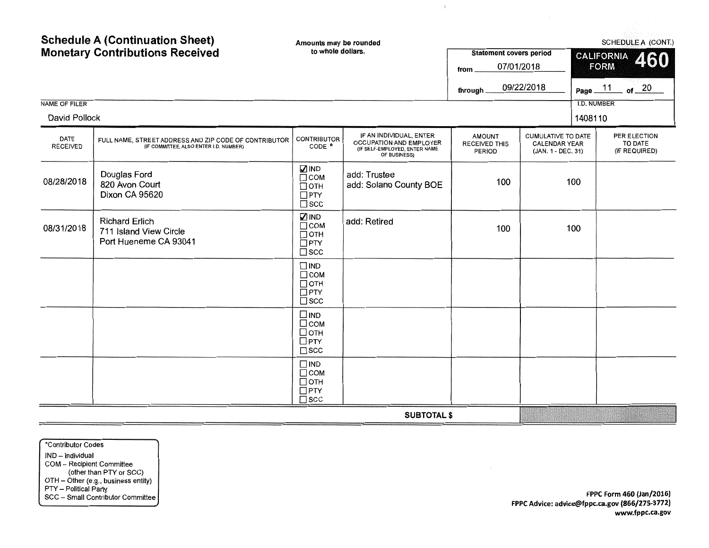| <b>Schedule A (Continuation Sheet)</b><br><b>Monetary Contributions Received</b> |                                                                                                 | Amounts may be rounded<br>to whole dollars.                                 |                                                                                                     | <b>Statement covers period</b><br>07/01/2018    | SCHEDULE A (CONT.)<br>CALIFORNIA 460<br><b>FORM</b>              |                    |                                          |  |
|----------------------------------------------------------------------------------|-------------------------------------------------------------------------------------------------|-----------------------------------------------------------------------------|-----------------------------------------------------------------------------------------------------|-------------------------------------------------|------------------------------------------------------------------|--------------------|------------------------------------------|--|
|                                                                                  |                                                                                                 |                                                                             |                                                                                                     | from<br>09/22/2018<br>through                   |                                                                  | of $20$<br>Page 11 |                                          |  |
| <b>NAME OF FILER</b>                                                             |                                                                                                 |                                                                             |                                                                                                     |                                                 |                                                                  | <b>I.D. NUMBER</b> |                                          |  |
| David Pollock                                                                    |                                                                                                 |                                                                             |                                                                                                     |                                                 |                                                                  | 1408110            |                                          |  |
| <b>DATE</b><br><b>RECEIVED</b>                                                   | FULL NAME, STREET ADDRESS AND ZIP CODE OF CONTRIBUTOR<br>(IF COMMITTEE, ALSO ENTER I.D. NUMBER) | <b>CONTRIBUTOR</b><br>CODE *                                                | IF AN INDIVIDUAL, ENTER<br>OCCUPATION AND EMPLOYER<br>(IF SELF-EMPLOYED, ENTER NAME<br>OF BUSINESS) | <b>AMOUNT</b><br><b>RECEIVED THIS</b><br>PERIOD | CUMULATIVE TO DATE<br><b>CALENDAR YEAR</b><br>(JAN. 1 - DEC. 31) |                    | PER ELECTION<br>TO DATE<br>(IF REQUIRED) |  |
| 08/28/2018                                                                       | Douglas Ford<br>820 Avon Court<br>Dixon CA 95620                                                | <b>NIND</b><br>$\Box$ COM<br>□отн<br>$\Box$ PTY<br>$\square$ scc            | add: Trustee<br>add: Solano County BOE                                                              | 100                                             | 100                                                              |                    |                                          |  |
| 08/31/2018                                                                       | <b>Richard Erlich</b><br>711 Island View Circle<br>Port Hueneme CA 93041                        | <b>ZIND</b><br>$\Box$ COM<br>$\Box$ OTH<br>$\Box$ PTY<br>$\square$ scc      | add: Retired                                                                                        | 100                                             | 100                                                              |                    |                                          |  |
|                                                                                  |                                                                                                 | $\square$ IND<br>$\Box$ COM<br>$\Box$ OTH<br>$\square$ PTY<br>$\square$ scc |                                                                                                     |                                                 |                                                                  |                    |                                          |  |
|                                                                                  |                                                                                                 | $\square$ IND<br>□сом<br>□отн<br>$\Box$ PTY<br>$\square$ scc                |                                                                                                     |                                                 |                                                                  |                    |                                          |  |
|                                                                                  |                                                                                                 | $\Box$ IND<br>$\Box$ COM<br>$\Box$ OTH<br>$\Box$ PTY<br>$\square$ scc       |                                                                                                     |                                                 |                                                                  |                    |                                          |  |
|                                                                                  |                                                                                                 | <b>SUBTOTAL \$</b>                                                          |                                                                                                     |                                                 |                                                                  |                    |                                          |  |

 $\perp$ 

\*Contributor Codes IND -- Individual COM - Recipient Committee (other than PTY or SCC) OTH - Other (e.g., business entity) PTY - Political Party SCC - Small Contributor Committee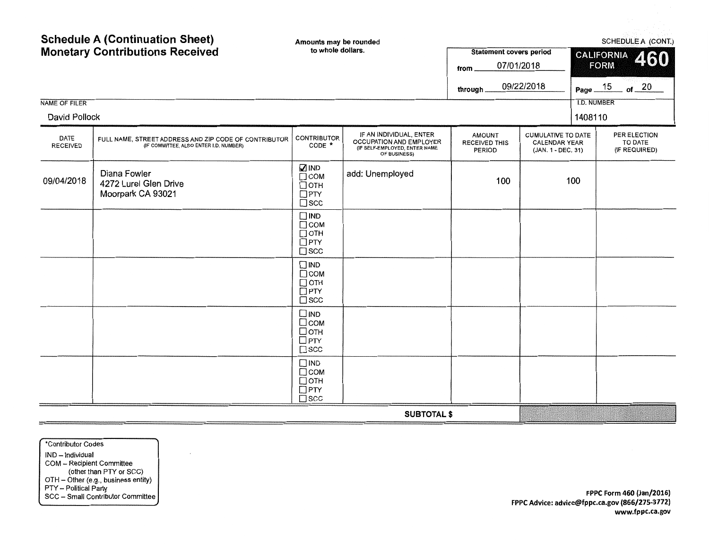**Schedule A (Continuation Sheet)**  SCHEDULE A (CONT.) **Amounts may be rounded Monetary Contributions Received to whole dollars. Statement covers period CALIFORNIA** Δ 60 **FORM from** 07/01/2018 **through** 09/22/2018 **Page 15**  l.D. NUMBER NAME OF FILER David Pollock 1408110 CUMULATIVE TO DATE PER ELECTION IF AN INDIVIDUAL, ENTER AMOUNT FULL NAME, STREET ADDRESS AND ZIP CODE OF CONTRIBUTOR CONTRIBUTOR (F COMMITTEE, ALSO ENTER I.D. NUMBER) DATE OCCUPATION AND EMPLOYER RECEIVED THIS CALENDAR YEAR TO DATE RECEIVED (IF COMMITTEE, ALSO ENTER I.D. NUMBER) (IF SELF-EMPLOYED, ENTER NAME PERIOD (JAN. 1 - DEC. 31) (IF REQUIRED) OF BUSINESS)  $\boxtimes$  IND add: Unemployed Diana Fowler  $\square$ COM 100 09/04/2018 | 4272 Lurel Glen Drive 100  $\square$ отн Moorpark CA 93021 **DPTY**  $\square$  scc DIND  $\square$ COM  $\square$ OTH  $\Box$ PTY  $\square$  scc DIND DCOM  $\square$  OTH **D**PTY  $\square$  scc DIND DcoM  $\Box$  OTH  $\Box$ PTY  $\square$  scc DIND  $\square$ COM  $\square$ OTH **DPTY**  $\square$  scc **SUBTOTAL\$** 

\*Contributor Codes IND - Individual COM - Recipient Committee (other than PTY or SCC) OTH - Other (e.g., business entity) PTY - Political Party SCC - Small Contributor Committee